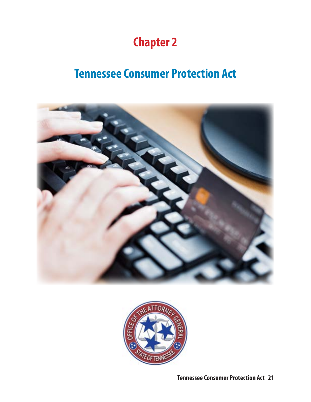## **Chapter 2**

## **Tennessee Consumer Protection Act**





**Tennessee Consumer Protection Act 21**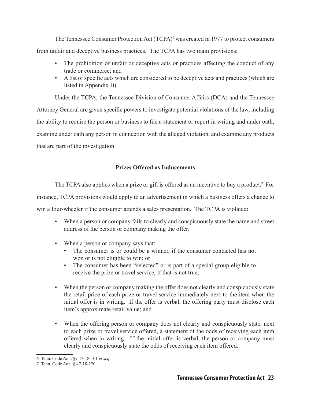The Tennessee Consumer Protection Act (TCPA)<sup>6</sup> was created in 1977 to protect consumers from unfair and deceptive business practices. The TCPA has two main provisions:

- The prohibition of unfair or deceptive acts or practices affecting the conduct of any trade or commerce; and
- • A list of specific acts which are considered to be deceptive acts and practices (which are listed in Appendix B).

Under the TCPA, the Tennessee Division of Consumer Affairs (DCA) and the Tennessee Attorney General are given specific powers to investigate potential violations of the law, including the ability to require the person or business to file a statement or report in writing and under oath, examine under oath any person in connection with the alleged violation, and examine any products that are part of the investigation.

## **Prizes Offered as Inducements**

The TCPA also applies when a prize or gift is offered as an incentive to buy a product.<sup>7</sup> For

instance, TCPA provisions would apply to an advertisement in which a business offers a chance to

win a four-wheeler if the consumer attends a sales presentation. The TCPA is violated:

- When a person or company fails to clearly and conspicuously state the name and street address of the person or company making the offer;
- When a person or company says that:
	- The consumer is or could be a winner, if the consumer contacted has not won or is not eligible to win; or
	- The consumer has been "selected" or is part of a special group eligible to receive the prize or travel service, if that is not true;
- When the person or company making the offer does not clearly and conspicuously state the retail price of each prize or travel service immediately next to the item when the initial offer is in writing. If the offer is verbal, the offering party must disclose each item's approximate retail value; and
- When the offering person or company does not clearly and conspicuously state, next to each prize or travel service offered, a statement of the odds of receiving each item offered when in writing. If the initial offer is verbal, the person or company must clearly and conspicuously state the odds of receiving each item offered.

<sup>6</sup> Tenn. Code Ann. §§ 47-18-101 *et seq*.

<sup>7</sup> Tenn. Code Ann. § 47-18-120.